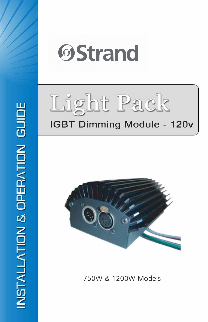





750W & 1200W Models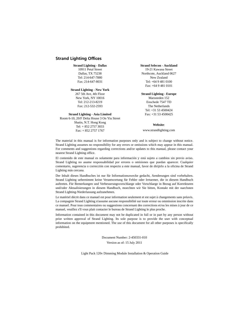### <span id="page-1-0"></span>**Strand Lighting Offices**

#### **Strand Lighting - Dallas**

10911 Petal Street Dallas, TX 75238 Tel: 214-647-7880 Fax: 214-647-8031

#### **Strand Lighting - New York**

267 5th Ave, 4th Floor New York, NY 10016 Tel: 212-213-8219 Fax: 212-532-2593

#### **Strand Lighting - Asia Limited**

Room 6-10, 20/F Delta House 3 On Yiu Street Shatin, N.T. Hong Kong Tel: + 852 2757 3033 Fax: + 852 2757 1767

#### **Strand Selecon - Auckland**

19-21 Kawana Street Northcote, Auckland 0627 New Zealand Tel: +64 9 481 0100 Fax: +64 9 481 0101

#### **Strand Lighting - Europe**

Marssteden 152 Enschede 7547 TD The Netherlands Tel: +31 53 4500424 Fax: +31 53 4500425

#### **Website**:

www.strandlighting.com

The material in this manual is for information purposes only and is subject to change without notice. Strand Lighting assumes no responsibility for any errors or omissions which may appear in this manual. For comments and suggestions regarding corrections and/or updates to this manual, please contact your nearest Strand Lighting office.

El contenido de este manual es solamente para información y está sujeto a cambios sin previo aviso. Strand Lighting no asume responsabilidad por errores o omisiones que puedan aparecer. Cualquier comentario, sugerencia o corrección con respecto a este manual, favor de dirijirlo a la oficina de Strand Lighting más cercana.

Der Inhalt dieses Handbuches ist nur für Informationszwecke gedacht, Aenderungen sind vorbehalten. Strand Lighting uebernimmt keine Verantwortung für Fehler oder Irrtuemer, die in diesem Handbuch auftreten. Für Bemerkungen und Verbesserungsvorschlaege oder Vorschlaege in Bezug auf Korrekturen und/oder Aktualisierungen in diesem Handbuch, moechten wir Sie bitten, Kontakt mit der naechsten Strand Lighting-Niederlassung aufzunehmen.

Le matériel décrit dans ce manuel est pour information seulement et est sujet à changements sans préavis. La compagnie Strand Lighting n'assume aucune responsibilité sur toute erreur ou ommission inscrite dans ce manuel. Pour tous commentaires ou suggestions concernant des corrections et/ou les mises à jour de ce manuel, veuillez s'll vous plait contacter le bureau de Strand Lighting le plus proche.

Information contained in this document may not be duplicated in full or in part by any person without prior written approval of Strand Lighting. Its sole purpose is to provide the user with conceptual information on the equipment mentioned. The use of this document for all other purposes is specifically prohibited.

> Document Number: 2-450331-010 Version as of: 15 July 2011

Light Pack 120v Dimming Module Installation & Operation Guide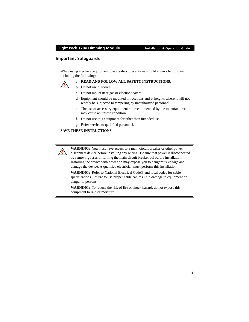### <span id="page-2-0"></span>**Important Safeguards**

When using electrical equipment, basic safety precautions should always be followed including the following:



#### a. **READ AND FOLLOW ALL SAFETY INSTRUCTIONS**.

- b. Do not use outdoors.
- c. Do not mount near gas or electric heaters.
- d. Equipment should be mounted in locations and at heights where it will not readily be subjected to tampering by unauthorized personnel.
- e. The use of accessory equipment not recommended by the manufacturer may cause an unsafe condition.
- f. Do not use this equipment for other than intended use.
- g. Refer service to qualified personnel.

### **SAVE THESE INSTRUCTIONS**.

**WARNING:** You must have access to a main circuit breaker or other power disconnect device before installing any wiring. Be sure that power is disconnected by removing fuses or turning the main circuit breaker off before installation. Installing the device with power on may expose you to dangerous voltage and damage the device. A qualified electrician must perform this installation.

**WARNING:** Refer to National Electrical Code® and local codes for cable specifications. Failure to use proper cable can result in damage to equipment or danger to persons.

**WARNING:** To reduce the risk of fire or shock hazard, do not expose this equipment to rain or moisture.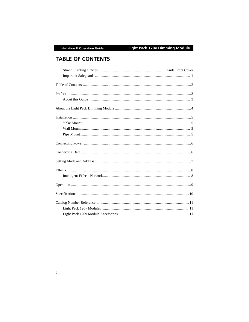# <span id="page-3-0"></span>**TABLE OF CONTENTS**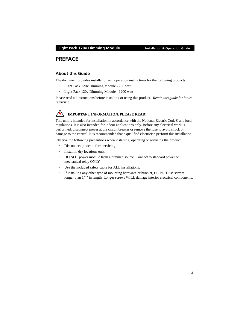### <span id="page-4-0"></span>**PREFACE**

### <span id="page-4-1"></span>**About this Guide**

The document provides installation and operation instructions for the following products:

- Light Pack 120v Dimming Module 750 watt
- Light Pack 120v Dimming Module 1200 watt

Please read all instructions before installing or using this product. *Retain this guide for future reference*.



### **IMPORTANT INFORMATION. PLEASE READ!**

This unit is intended for installation in accordance with the National Electric Code® and local regulations. It is also intended for indoor applications only. Before any electrical work is performed, disconnect power at the circuit breaker or remove the fuse to avoid shock or damage to the control. It is recommended that a qualified electrician perform this installation.

Observe the following precautions when installing, operating or servicing the product:

- Disconnect power before servicing.
- Install in dry locations only.
- DO NOT power module from a dimmed source. Connect to standard power or mechanical relay ONLY.
- Use the included safety cable for ALL installations.
- If installing any other type of mounting hardware or bracket, DO NOT use screws longer than 1/4" in length. Longer screws WILL damage interior electrical components.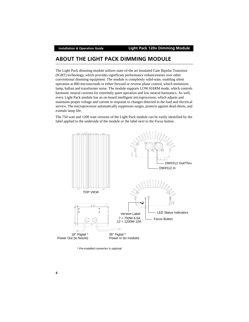# <span id="page-5-0"></span>**ABOUT THE LIGHT PACK DIMMING MODULE**

The Light Pack dimming module utilizes state-of-the art Insulated Gate Bipolar Transistor (IGBT) technology, which provides significant performance enhancements over other conventional dimming equipment. The module is completely solid-state, enabling silent operation at 800 microseconds in either forward or reverse phase control, which minimizes lamp, ballast and transformer noise. The module supports LOW HARM mode, which controls harmonic neutral currents for extremely quiet operation and low neutral harmonics. As well, every Light Pack module has an on-board intelligent microprocessor, which adjusts and maintains proper voltage and current in response to changes detected in the load and electrical service. The microprocessor automatically suppresses surges, protects against dead shorts, and extends lamp life.

The 750 watt and 1200 watt versions of the Light Pack module can be easily identified by the label applied to the underside of the module *or* the label next to the Focus button.



*\* Pre-installed connector is optional.*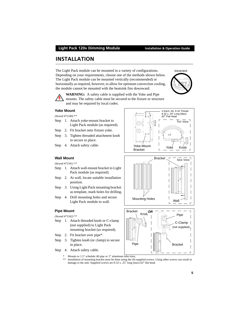The Light Pack module can be mounted in a variety of configurations. Depending on your requirements, choose one of the methods shown below. The Light Pack module can be mounted vertically (recommended) or horizontally as required, however, to allow for optimum convection cooling, the module cannot be mounted with the heatsink fins downward.

**WARNING:** A safety cable is supplied with the Yoke and Pipe mounts. The safety cable must be secured to the fixture or structure and may be required by local codes.

#### <span id="page-6-1"></span>**Yoke Mount**

#### *(Strand #71340) \*\**

- Step 1. Attach yoke-mount bracket to Light Pack module (as required).
- Step 2. Fit bracket onto fixture yoke.
- Step 3. Tighten threaded attachment knob to secure in place.
- Step 4. Attach safety cable.

<span id="page-6-0"></span>**INSTALLATION**

### <span id="page-6-2"></span>**Wall Mount**

*(Strand #71341) \*\**

- Step 1. Attach wall-mount bracket to Light Pack module (as required).
- Step 2. At wall, locate suitable installation position.
- Step 3. Using Light Pack mounting bracket as template, mark holes for drilling.
- Step 4. Drill mounting holes and secure Light Pack module to wall.

#### <span id="page-6-3"></span>**Pipe Mount**

*(Strand #71342) \*\**

- Step 1. Attach threaded knob or C-clamp (not supplied) to Light Pack mounting bracket (as required).
- Step 2. Fit bracket over pipe\*.
- Step 3. Tighten knob (or clamp) to secure in place.
- Step 4. Attach safety cable.
	- Mounts to 1.5" schedule 40 pipe *or* 2" aluminum tube truss.
	- \*\* Installation of mounting bracket must be done using the (4) supplied screws. Using other screws can result in damage to the unit. Supplied screws are 8-32 x .25" long (max) 82° flat head.

 $\mathbf{I}$ 



Mounting Holes

Wall

 $\mathbf{I}$ 

SIDE VIEW



Bracket

 $\Gamma$ 

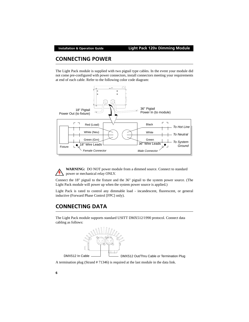# <span id="page-7-0"></span>**CONNECTING POWER**

The Light Pack module is supplied with two pigtail type cables. In the event your module did not come pre-configured with power connectors, install connectors meeting your requirements at end of each cable. Refer to the following color code diagram:



**WARNING:** DO NOT power module from a dimmed source. Connect to standard power or mechanical relay ONLY.

Connect the 18" pigtail to the fixture and the 36" pigtail to the system power source. (The Light Pack module will power up when the system power source is applied.)

Light Pack is rated to control any dimmable load - incandescent, fluorescent, or general inductive (Forward Phase Control [FPC] only).

# <span id="page-7-1"></span>**CONNECTING DATA**

The Light Pack module supports standard USITT DMX512/1990 protocol. Connect data cabling as follows:



DMX512 In Cable **DMX512 Out/Thru Cable or Termination Plug** 

A termination plug (Strand # 71346) is required at the last module in the data link.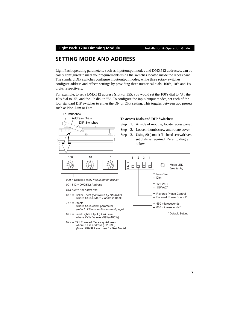# <span id="page-8-0"></span>**SETTING MODE AND ADDRESS**

Light Pack operating parameters, such as input/output modes and DMX512 addresses, can be easily configured to meet your requirements using the switches located inside the recess panel. The standard DIP switches configure input/output modes, while three rotary switches configure address and effects settings by providing three numerical dials: 100's, 10's and 1's digits respectively.

For example, to set a DMX512 address (slot) of 355, you would set the 100's dial to "3", the 10's dial to "5", and the 1's dial to "5". To configure the input/output modes, set each of the four standard DIP switches to either the ON or OFF setting. This toggles between two presets such as Non-Dim or Dim.

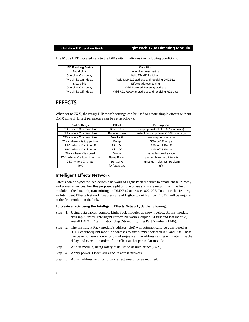The **Mode LED,** located next to the DIP switch, indicates the following conditions:

| <b>LED Flashing Status</b> | Condition                                        |
|----------------------------|--------------------------------------------------|
| Rapid blink                | Invalid address setting                          |
| One blink On - delay       | Valid DMX512 address                             |
| Two blinks On - delay      | Valid DMX512 address and receiving DMX512        |
| Slow blink                 | Effects address setting                          |
| One blink Off - delay      | Valid Powered Raceway address                    |
| Two blinks Off - delay     | Valid R21 Raceway address and receiving R21 data |

# <span id="page-9-0"></span>**EFFECTS**

When set to 7XX, the rotary DIP switch settings can be used to create simple effects without DMX control. Effect parameters can be set as follows:

| <b>Dial Settings</b>            | <b>Effect</b>        | <b>Description</b>                     |
|---------------------------------|----------------------|----------------------------------------|
| 70X - where X is ramp time      | Bounce Up            | ramp up, instant off (100% intensity)  |
| 71X - where X is ramp time      | Bounce Down          | instant on, ramp down (100% intensity) |
| 72X - where X is ramp time      | Saw Tooth            | ramps up, ramps down                   |
| 73X - where X is toggle time    | Bump                 | 50% on/off toggle                      |
| 74X - where X is time off       | <b>Blink On</b>      | 12% on, 88% off                        |
| 75X - where X is time on        | <b>Blink Off</b>     | 12% off, 88% on                        |
| 76X - where X is speed          | Strobe               | variable speed strobe                  |
| 77X - where X is lamp intensity | <b>Flame Flicker</b> | random flicker and intensity           |
| 78X - where X is rate           | <b>Bell Curve</b>    | ramps up, holds, ramps down            |
| 79X                             | for future use       | n/a                                    |

### <span id="page-9-1"></span>**Intelligent Effects Network**

Effects can be synchronized across a network of Light Pack modules to create chase, runway and wave sequences. For this purpose, eight unique phase shifts are output from the first module in the data link, transmitting on DMX512 addresses 002-008. To utilize this feature, an Intelligent Effects Network Coupler (Strand Lighting Part Number 71347) will be required at the first module in the link.

#### **To create effects using the Intelligent Effects Network, do the following:**

- Step 1. Using data cables, connect Light Pack modules as shown below. At first module data input, install Intelligent Effects Network Coupler. At first and last module, install DMX512 termination plug (Strand Lighting Part Number 71346).
- Step 2. The first Light Pack module's address (slot) will automatically be considered as 001. Set subsequent module addresses to any number between 002 and 008. These can be in numerical order or out of sequence. The address setting will determine the delay and execution order of the effect at that particular module.
- Step 3. At first module, using rotary dials, set to desired effect (7XX).
- Step 4. Apply power. Effect will execute across network.
- Step 5. Adjust address settings to vary effect execution as required.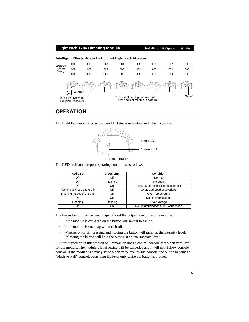#### **Light Pack 120v Dimming Module Installation & Operation Guide Intelligent Effects Network - Up to 64 Light Pack Modules** 002 003 004 005 006 007 008 *Example* 001 *Address* 001 008 002 007 003 006 004 005 *Settings* 001 003 005 007 002 004 006 008 www мш Term\* Term\* Termination plugs required at Intelligent Network **First and Intelligent Network**<br>Counter/Crossover **Intelligent Intelligent Network** Intelligent Network Coupler/Crossover

# <span id="page-10-0"></span>**OPERATION**

The Light Pack module provides two LED status indicators and a Focus button.



The **LED indicators** report operating conditions as follows:

| <b>Red LED</b>                | <b>Green LED</b> | Condition                         |
|-------------------------------|------------------|-----------------------------------|
| Off                           | Off              | Normal                            |
| Off                           | Flashing         | No Load                           |
| Off                           | On               | Focus Mode (controlled at dimmer) |
| Flashing (1.5 sec on, .5 off) | Off              | Oversized Load or Overload        |
| Flashing (.5 sec on, .5 off)  | Off              | Over Temperature                  |
| On                            | Off              | No communications                 |
| Flashing                      | Flashing         | Over Voltage                      |
| On                            | On               | No Communications / In Focus Mode |

The **Focus button** can be used to quickly set the output level or test the module.

- If the module is off, a tap on the button will take it to full on.
- If the module is on, a tap will turn it off.
- Whether on or off, pressing and holding the button will ramp up the intensity level. Releasing the button will hold the setting at an intermediate level.

Fixtures turned on in this fashion will remain on until a control console sets a non-zero level for the module. The module's level setting will be cancelled and it will now follow console control. If the module is already set to a non-zero level by the console, the button becomes a "Flash-to-Full" control, overriding the level only while the button is pressed.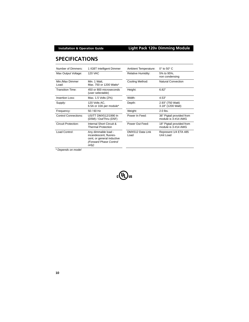# <span id="page-11-0"></span>**SPECIFICATIONS**

| Number of Dimmers:          | 1 IGBT Intelligent Dimmer                                                                                      | Ambient Temperature:      | $0^\circ$ to 50 $^\circ$ C                       |
|-----------------------------|----------------------------------------------------------------------------------------------------------------|---------------------------|--------------------------------------------------|
| Max Output Voltage:         | <b>120 VAC</b>                                                                                                 | <b>Relative Humidity:</b> | 5% to 95%,<br>non condensing                     |
| Min./Max Dimmer<br>Load:    | Min. 1 Watt,<br>Max. 750 or 1200 Watts*                                                                        | Cooling Method:           | <b>Natural Convection</b>                        |
| <b>Transition Time:</b>     | 450 or 800 microseconds<br>(user selectable)                                                                   | Height:                   | 6.82"                                            |
| Insertion Loss:             | Max. 1.5 Volts (2%)                                                                                            | Width:                    | 4.53"                                            |
| Supply:                     | 120 Volts AC,<br>6.5A or 10A per module*                                                                       | Depth:                    | 2.93" (750 Watt)<br>3.18" (1200 Watt)            |
| Frequency:                  | 50 / 60 Hz                                                                                                     | Weight:                   | $2.0$ lbs.                                       |
| <b>Control Connections:</b> | USITT DMX512/1990 In<br>(D5M) / Out/Thru (D5F)                                                                 | Power In Feed:            | 36" Pigtail provided from<br>module is 3-#14 AWG |
| Circuit Protection:         | Internal Short Circuit &<br><b>Thermal Protection</b>                                                          | Power Out Feed:           | 18" Pigtail provided from<br>module is 3-#14 AWG |
| Load Control:               | Any dimmable load -<br>incandescent, fluores-<br>cent, or general inductive<br>(Forward Phase Control<br>only) | DMX512 Data Link<br>Load  | Represent 1/4 ETA 485<br>Unit Load               |

*\* Depends on model*

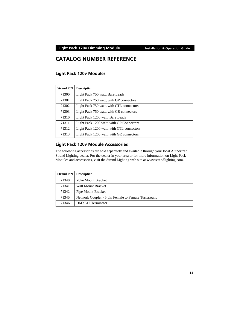### **Light Pack 120v Dimming Module Installation & Operation Guide**

# <span id="page-12-0"></span>**CATALOG NUMBER REFERENCE**

### <span id="page-12-1"></span>**Light Pack 120v Modules**

| <b>Strand P/N</b> | <b>Description</b>                        |
|-------------------|-------------------------------------------|
| 71300             | Light Pack 750 watt, Bare Leads           |
| 71301             | Light Pack 750 watt, with GP connectors   |
| 71302             | Light Pack 750 watt, with GTL connectors  |
| 71303             | Light Pack 750 watt, with GR connectors   |
| 71310             | Light Pack 1200 watt, Bare Leads          |
| 71311             | Light Pack 1200 watt, with GP Connectors  |
| 71312             | Light Pack 1200 watt, with GTL connectors |
| 71313             | Light Pack 1200 watt, with GR connectors  |

### <span id="page-12-2"></span>**Light Pack 120v Module Accessories**

[The following accessories are sold separately and available through your local Authorized](http://www.strandlighting.com)  Strand Lighting dealer. For the dealer in your area or for more information on Light Pack Modules and accessories, visit the Strand Lighting web site at www.strandlighting.com.

| <b>Strand P/N</b> | <b>Description</b>                                  |
|-------------------|-----------------------------------------------------|
| 71340             | <b>Yoke Mount Bracket</b>                           |
| 71341             | Wall Mount Bracket                                  |
| 71342             | Pipe Mount Bracket                                  |
| 71345             | Network Coupler - 5 pin Female to Female Turnaround |
| 71346             | DMX512 Terminator                                   |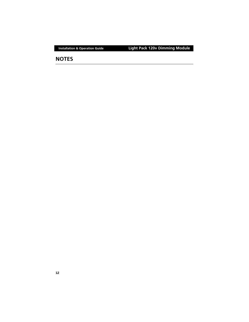## **NOTES**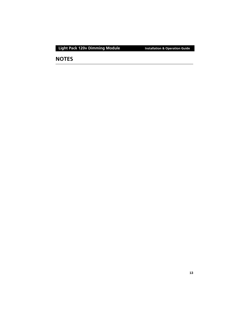# **NOTES**